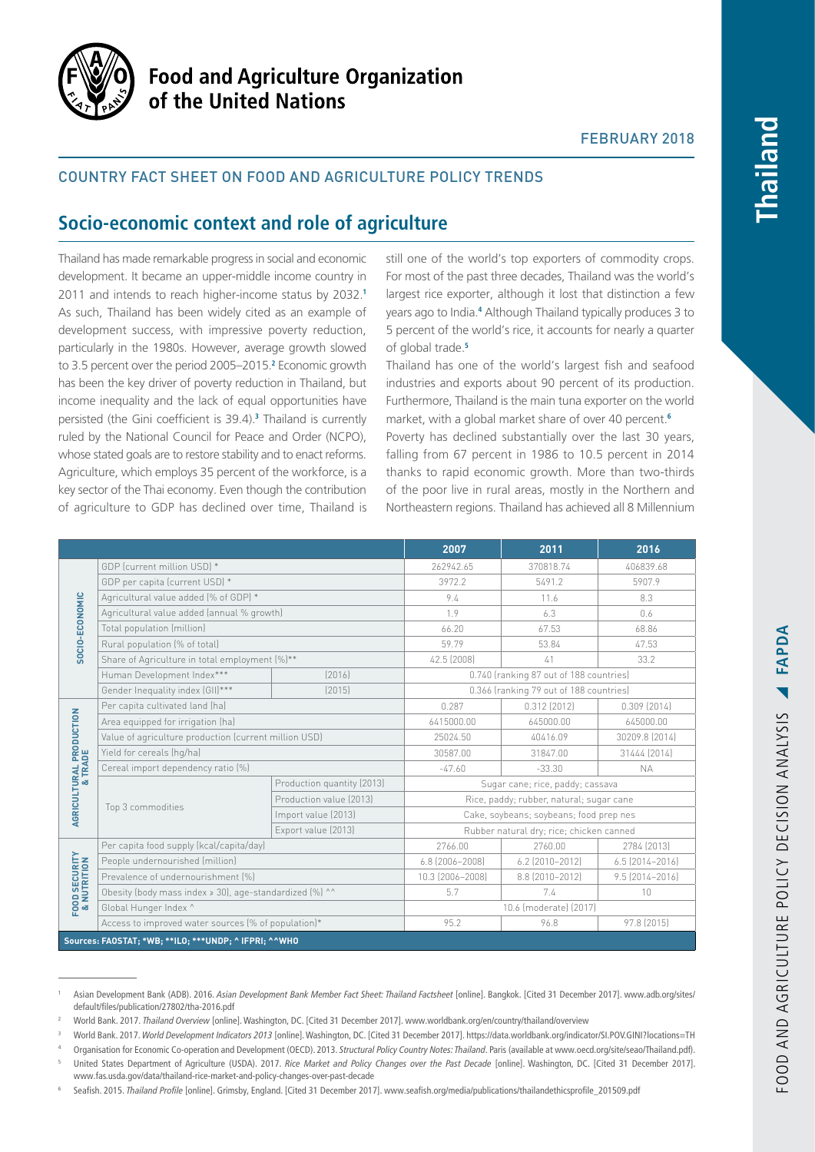

# **Food and Agriculture Organization** of the United Nations

## FEBRUARY 2018

# Country fact sheet on food and agriculture policy trends

# **Socio-economic context and role of agriculture**

Thailand has made remarkable progress in social and economic development. It became an upper-middle income country in 2011 and intends to reach higher-income status by 2032.**<sup>1</sup>** As such, Thailand has been widely cited as an example of development success, with impressive poverty reduction, particularly in the 1980s. However, average growth slowed to 3.5 percent over the period 2005–2015.**<sup>2</sup>** Economic growth has been the key driver of poverty reduction in Thailand, but income inequality and the lack of equal opportunities have persisted (the Gini coefficient is 39.4).**<sup>3</sup>** Thailand is currently ruled by the National Council for Peace and Order (NCPO), whose stated goals are to restore stability and to enact reforms. Agriculture, which employs 35 percent of the workforce, is a key sector of the Thai economy. Even though the contribution of agriculture to GDP has declined over time, Thailand is

still one of the world's top exporters of commodity crops. For most of the past three decades, Thailand was the world's largest rice exporter, although it lost that distinction a few years ago to India.**<sup>4</sup>** Although Thailand typically produces 3 to 5 percent of the world's rice, it accounts for nearly a quarter of global trade.**<sup>5</sup>**

Thailand has one of the world's largest fish and seafood industries and exports about 90 percent of its production. Furthermore, Thailand is the main tuna exporter on the world market, with a global market share of over 40 percent.**<sup>6</sup>**

Poverty has declined substantially over the last 30 years, falling from 67 percent in 1986 to 10.5 percent in 2014 thanks to rapid economic growth. More than two-thirds of the poor live in rural areas, mostly in the Northern and Northeastern regions. Thailand has achieved all 8 Millennium

|                                                       |                                                         |                            | 2007                                     | 2011              | 2016                  |
|-------------------------------------------------------|---------------------------------------------------------|----------------------------|------------------------------------------|-------------------|-----------------------|
| SOCIO-ECONOMIC                                        | GDP (current million USD) *                             |                            | 262942.65                                | 370818.74         | 406839.68             |
|                                                       | GDP per capita (current USD) *                          |                            | 3972.2                                   | 5491.2            | 5907.9                |
|                                                       | Agricultural value added (% of GDP) *                   |                            | 9.4                                      | 11.6              | 8.3                   |
|                                                       | Agricultural value added (annual % growth)              |                            | 1.9                                      | 6.3               | 0.6                   |
|                                                       | Total population (million)                              |                            | 66.20                                    | 67.53             | 68.86                 |
|                                                       | Rural population (% of total)                           |                            | 59.79                                    | 53.84             | 47.53                 |
|                                                       | Share of Agriculture in total employment [%]**          |                            | 42.5 (2008)                              | 41                | 33.2                  |
|                                                       | Human Development Index***                              | [2016]                     | 0.740 (ranking 87 out of 188 countries)  |                   |                       |
|                                                       | Gender Inequality index (GII)***                        | [2015]                     | 0.366 (ranking 79 out of 188 countries)  |                   |                       |
| <b>AGRICULTURAL PRODUCTION<br/>&amp; TRADE</b>        | Per capita cultivated land (ha)                         |                            | 0.287                                    | $0.312$ (2012)    | $0.309$ $[2014]$      |
|                                                       | Area equipped for irrigation (ha)                       |                            | 6415000.00                               | 645000.00         | 645000.00             |
|                                                       | Value of agriculture production (current million USD)   |                            | 25024.50                                 | 40416.09          | 30209.8 (2014)        |
|                                                       | Yield for cereals (hg/ha)                               |                            | 30587.00                                 | 31847.00          | 31444 [2014]          |
|                                                       | Cereal import dependency ratio (%)                      |                            | $-47.60$                                 | $-33.30$          | <b>NA</b>             |
|                                                       | Top 3 commodities                                       | Production quantity (2013) | Sugar cane; rice, paddy; cassava         |                   |                       |
|                                                       |                                                         | Production value (2013)    | Rice, paddy; rubber, natural; sugar cane |                   |                       |
|                                                       |                                                         | Import value (2013)        | Cake, soybeans; soybeans; food prep nes  |                   |                       |
|                                                       |                                                         | Export value (2013)        | Rubber natural dry; rice; chicken canned |                   |                       |
| <b>FOOD SECURITY</b><br>& NUTRITION                   | Per capita food supply (kcal/capita/day)                |                            | 2766.00                                  | 2760.00           | 2784 (2013)           |
|                                                       | People undernourished (million)                         |                            | 6.8 (2006-2008)                          | $6.2$ (2010-2012) | $6.5$ $(2014 - 2016)$ |
|                                                       | Prevalence of undernourishment (%)                      |                            | 10.3 (2006-2008)                         | 8.8 (2010-2012)   | $9.5$ $[2014 - 2016]$ |
|                                                       | Obesity (body mass index > 30), age-standardized (%) ^^ |                            | 5.7                                      | 7.4               | 10                    |
|                                                       | Global Hunger Index ^                                   |                            | 10.6 (moderate) (2017)                   |                   |                       |
|                                                       | Access to improved water sources (% of population)*     |                            | 95.2                                     | 96.8              | 97.8 (2015)           |
| Sources: FAOSTAT; *WB; ***LO; ***UNDP; ^ IFPRI; ^^WHO |                                                         |                            |                                          |                   |                       |

<sup>1</sup> Asian Development Bank (ADB). 2016. *Asian Development Bank Member Fact Sheet: Thailand Factsheet* [online]. Bangkok. [Cited 31 December 2017]. [www.adb.org/sites/](www.adb.org/sites/default/files/publication/27802/tha-2016.pdf) [default/files/publication/27802/tha-2016.pdf](www.adb.org/sites/default/files/publication/27802/tha-2016.pdf)

<sup>2</sup> World Bank. 2017. *Thailand Overview* [online]. Washington, DC. [Cited 31 December 2017]. [www.worldbank.org/en/country/thailand/overview](http://www.worldbank.org/en/country/thailand/overview)

<sup>3</sup> World Bank. 2017. *World Development Indicators 2013* [online]. Washington, DC. [Cited 31 December 2017].<https://data.worldbank.org/indicator/SI.POV.GINI?locations=TH>

<sup>4</sup> Organisation for Economic Co-operation and Development (OECD). 2013. *Structural Policy Country Notes: Thailand*. Paris (available at [www.oecd.org/site/seao/Thailand.pdf\)](www.oecd.org/site/seao/Thailand.pdf).

<sup>5</sup> United States Department of Agriculture (USDA). 2017. *Rice Market and Policy Changes over the Past Decade* [online]. Washington, DC. [Cited 31 December 2017]. [www.fas.usda.gov/data/thailand](https://www.fas.usda.gov/data/thailand)-rice-market-and-policy-changes-over-past-decade

<sup>6</sup> Seafish. 2015. *Thailand Profile* [online]. Grimsby, England. [Cited 31 December 2017]. [www.seafish.org/media/publications/thailandethicsprofile\\_201509.pdf](http://www.seafish.org/media/publications/thailandethicsprofile_201509.pdf)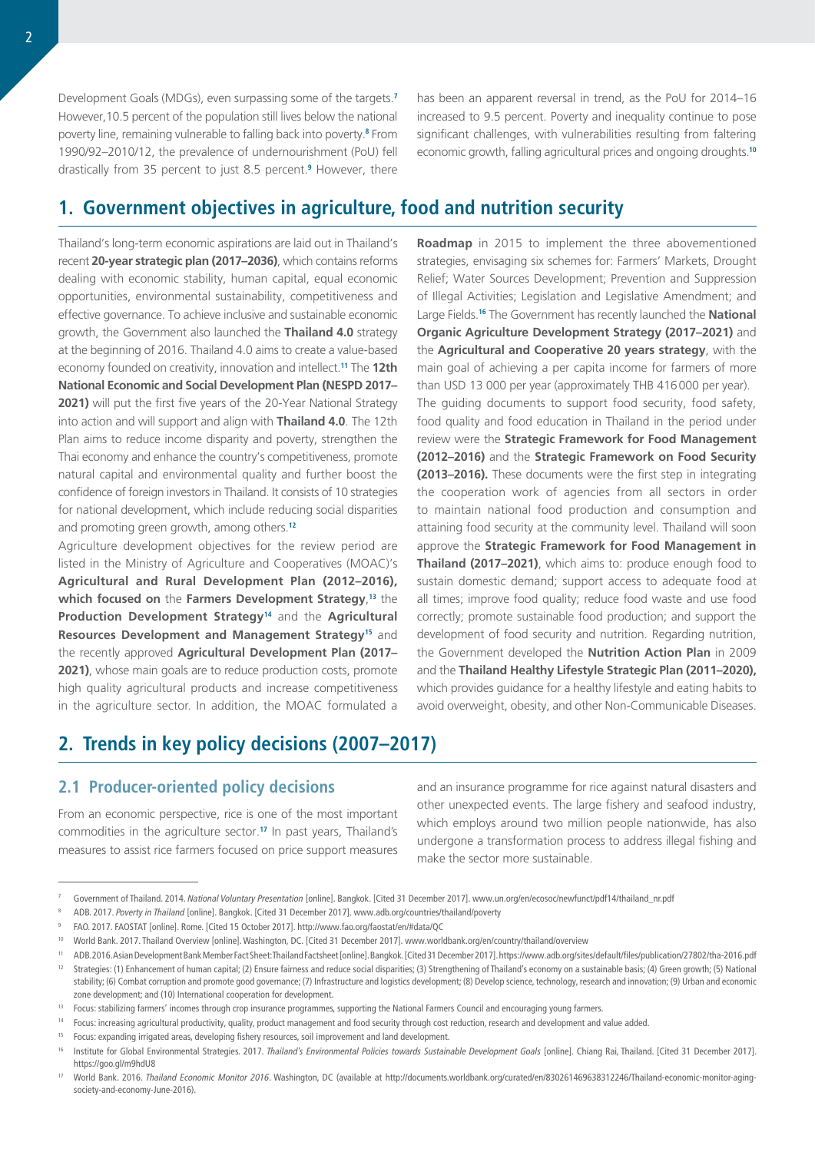Development Goals (MDGs), even surpassing some of the targets.**<sup>7</sup>** However,10.5 percent of the population still lives below the national poverty line, remaining vulnerable to falling back into poverty.**<sup>8</sup>** From 1990/92–2010/12, the prevalence of undernourishment (PoU) fell drastically from 35 percent to just 8.5 percent.**<sup>9</sup>** However, there has been an apparent reversal in trend, as the PoU for 2014–16 increased to 9.5 percent. Poverty and inequality continue to pose significant challenges, with vulnerabilities resulting from faltering economic growth, falling agricultural prices and ongoing droughts.**<sup>10</sup>**

# **1. Government objectives in agriculture, food and nutrition security**

Thailand's long-term economic aspirations are laid out in Thailand's recent **20-year strategic plan (2017–2036)**, which contains reforms dealing with economic stability, human capital, equal economic opportunities, environmental sustainability, competitiveness and effective governance. To achieve inclusive and sustainable economic growth, the Government also launched the **Thailand 4.0** strategy at the beginning of 2016. Thailand 4.0 aims to create a value-based economy founded on creativity, innovation and intellect.**<sup>11</sup>** The **12th National Economic and Social Development Plan (NESPD 2017– 2021)** will put the first five years of the 20-Year National Strategy into action and will support and align with **Thailand 4.0**. The 12th Plan aims to reduce income disparity and poverty, strengthen the Thai economy and enhance the country's competitiveness, promote natural capital and environmental quality and further boost the confidence of foreign investors in Thailand. It consists of 10 strategies for national development, which include reducing social disparities and promoting green growth, among others.**<sup>12</sup>**

Agriculture development objectives for the review period are listed in the Ministry of Agriculture and Cooperatives (MOAC)'s **Agricultural and Rural Development Plan (2012–2016), which focused on** the **Farmers Development Strategy**, **<sup>13</sup>** the **Production Development Strategy<sup>14</sup>** and the **Agricultural Resources Development and Management Strategy<sup>15</sup>** and the recently approved **Agricultural Development Plan (2017–** 2021), whose main goals are to reduce production costs, promote high quality agricultural products and increase competitiveness in the agriculture sector. In addition, the MOAC formulated a

**Roadmap** in 2015 to implement the three abovementioned strategies, envisaging six schemes for: Farmers' Markets, Drought Relief; Water Sources Development; Prevention and Suppression of Illegal Activities; Legislation and Legislative Amendment; and Large Fields.**<sup>16</sup>** The Government has recently launched the **National Organic Agriculture Development Strategy (2017–2021)** and the **Agricultural and Cooperative 20 years strategy**, with the main goal of achieving a per capita income for farmers of more than USD 13 000 per year (approximately THB 416000 per year). The guiding documents to support food security, food safety, food quality and food education in Thailand in the period under review were the **Strategic Framework for Food Management (2012–2016)** and the **Strategic Framework on Food Security (2013–2016).** These documents were the first step in integrating the cooperation work of agencies from all sectors in order to maintain national food production and consumption and attaining food security at the community level. Thailand will soon approve the **Strategic Framework for Food Management in Thailand (2017–2021)**, which aims to: produce enough food to sustain domestic demand; support access to adequate food at all times; improve food quality; reduce food waste and use food correctly; promote sustainable food production; and support the development of food security and nutrition. Regarding nutrition, the Government developed the **Nutrition Action Plan** in 2009 and the **Thailand Healthy Lifestyle Strategic Plan (2011–2020),**  which provides guidance for a healthy lifestyle and eating habits to avoid overweight, obesity, and other Non-Communicable Diseases.

# **2. Trends in key policy decisions (2007–2017)**

## **2.1 Producer-oriented policy decisions**

From an economic perspective, rice is one of the most important commodities in the agriculture sector.**<sup>17</sup>** In past years, Thailand's measures to assist rice farmers focused on price support measures and an insurance programme for rice against natural disasters and other unexpected events. The large fishery and seafood industry, which employs around two million people nationwide, has also undergone a transformation process to address illegal fishing and make the sector more sustainable.

<sup>7</sup> Government of Thailand. 2014. *National Voluntary Presentation* [online]. Bangkok. [Cited 31 December 2017]. [www.un.org/en/ecosoc/newfunct/pdf14/thailand\\_nr.pdf](http://www.un.org/en/ecosoc/newfunct/pdf14/thailand_nr.pdf)

<sup>8</sup> ADB. 2017. *Poverty in Thailand* [online]. Bangkok. [Cited 31 December 2017]. [www.adb.org/countries/thailand/poverty](https://www.adb.org/countries/thailand/poverty)

<sup>9</sup> FAO. 2017. FAOSTAT [online]. Rome. [Cited 15 October 2017].<http://www.fao.org/faostat/en>/#data/QC

<sup>&</sup>lt;sup>10</sup> World Bank. 2017. Thailand Overview [online]. Washington, DC. [Cited 31 December 2017]. <www.worldbank.org/en/country/thailand/overview>

<sup>11</sup> ADB. 2016. Asian Development Bank Member Fact Sheet: Thailand Factsheet [online]. Bangkok. [Cited 31 December 2017].<https://www.adb.org/sites/default/files/publication/27802/tha-2016.pdf> <sup>12</sup> Strategies: (1) Enhancement of human capital; (2) Ensure fairness and reduce social disparities; (3) Strengthening of Thailand's economy on a sustainable basis; (4) Green growth; (5) National stability; (6) Combat corruption and promote good governance; (7) Infrastructure and logistics development; (8) Develop science, technology, research and innovation; (9) Urban and economic

zone development; and (10) International cooperation for development.

<sup>&</sup>lt;sup>13</sup> Focus: stabilizing farmers' incomes through crop insurance programmes, supporting the National Farmers Council and encouraging young farmers.

<sup>14</sup> Focus: increasing agricultural productivity, quality, product management and food security through cost reduction, research and development and value added.

<sup>15</sup> Focus: expanding irrigated areas, developing fishery resources, soil improvement and land development.

<sup>16</sup> Institute for Global Environmental Strategies. 2017. *Thailand's Environmental Policies towards Sustainable Development Goals* [online]. Chiang Rai, Thailand. [Cited 31 December 2017]. <https://goo.gl/m9hdU8>

<sup>17</sup> World Bank. 2016. *Thailand Economic Monitor 2016*. Washington, DC (available at [http://documents.worldbank.org/curated/en/830261469638312246/Thailand-](http://documents.worldbank.org/curated/en/830261469638312246/Thailand)economic-monitor-agingsociety-and-economy-June-2016).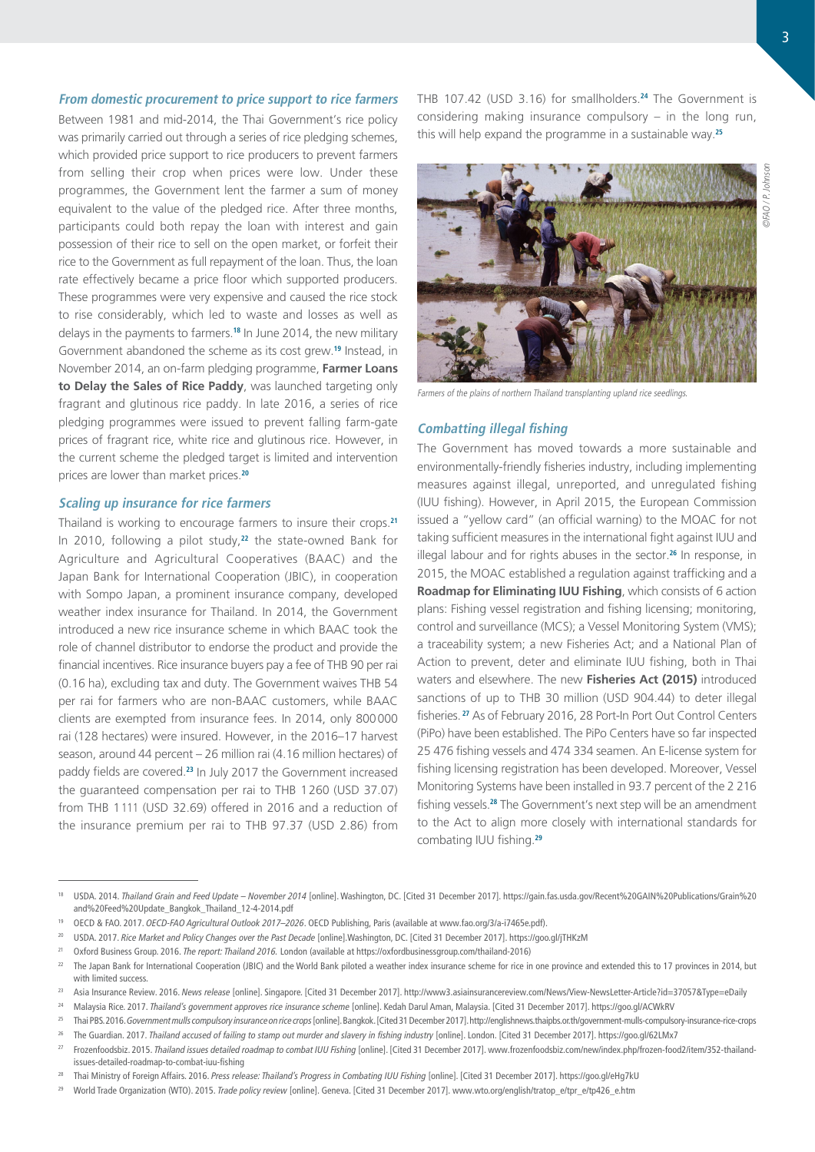#### **From domestic procurement to price support to rice farmers**

Between 1981 and mid-2014, the Thai Government's rice policy was primarily carried out through a series of rice pledging schemes, which provided price support to rice producers to prevent farmers from selling their crop when prices were low. Under these programmes, the Government lent the farmer a sum of money equivalent to the value of the pledged rice. After three months, participants could both repay the loan with interest and gain possession of their rice to sell on the open market, or forfeit their rice to the Government as full repayment of the loan. Thus, the loan rate effectively became a price floor which supported producers. These programmes were very expensive and caused the rice stock to rise considerably, which led to waste and losses as well as delays in the payments to farmers.**<sup>18</sup>** In June 2014, the new military Government abandoned the scheme as its cost grew.**<sup>19</sup>** Instead, in November 2014, an on-farm pledging programme, **Farmer Loans to Delay the Sales of Rice Paddy**, was launched targeting only fragrant and glutinous rice paddy. In late 2016, a series of rice pledging programmes were issued to prevent falling farm-gate prices of fragrant rice, white rice and glutinous rice. However, in the current scheme the pledged target is limited and intervention prices are lower than market prices.**<sup>20</sup>**

## **Scaling up insurance for rice farmers**

Thailand is working to encourage farmers to insure their crops.**<sup>21</sup>** In 2010, following a pilot study,**<sup>22</sup>** the state-owned Bank for Agriculture and Agricultural Cooperatives (BAAC) and the Japan Bank for International Cooperation (JBIC), in cooperation with Sompo Japan, a prominent insurance company, developed weather index insurance for Thailand. In 2014, the Government introduced a new rice insurance scheme in which BAAC took the role of channel distributor to endorse the product and provide the financial incentives. Rice insurance buyers pay a fee of THB 90 per rai (0.16 ha), excluding tax and duty. The Government waives THB 54 per rai for farmers who are non-BAAC customers, while BAAC clients are exempted from insurance fees. In 2014, only 800000 rai (128 hectares) were insured. However, in the 2016–17 harvest season, around 44 percent – 26 million rai (4.16 million hectares) of paddy fields are covered.**<sup>23</sup>** In July 2017 the Government increased the guaranteed compensation per rai to THB 1260 (USD 37.07) from THB 1111 (USD 32.69) offered in 2016 and a reduction of the insurance premium per rai to THB 97.37 (USD 2.86) from

THB 107.42 (USD 3.16) for smallholders.**<sup>24</sup>** The Government is considering making insurance compulsory – in the long run, this will help expand the programme in a sustainable way.**<sup>25</sup>**



Farmers of the plains of northern Thailand transplanting upland rice seedlings.

### **Combatting illegal fishing**

The Government has moved towards a more sustainable and environmentally-friendly fisheries industry, including implementing measures against illegal, unreported, and unregulated fishing (IUU fishing). However, in April 2015, the European Commission issued a "yellow card" (an official warning) to the MOAC for not taking sufficient measures in the international fight against IUU and illegal labour and for rights abuses in the sector.**<sup>26</sup>** In response, in 2015, the MOAC established a regulation against trafficking and a **Roadmap for Eliminating IUU Fishing**, which consists of 6 action plans: Fishing vessel registration and fishing licensing; monitoring, control and surveillance (MCS); a Vessel Monitoring System (VMS); a traceability system; a new Fisheries Act; and a National Plan of Action to prevent, deter and eliminate IUU fishing, both in Thai waters and elsewhere. The new **Fisheries Act (2015)** introduced sanctions of up to THB 30 million (USD 904.44) to deter illegal fisheries.**<sup>27</sup>** As of February 2016, 28 Port-In Port Out Control Centers (PiPo) have been established. The PiPo Centers have so far inspected 25 476 fishing vessels and 474 334 seamen. An E-license system for fishing licensing registration has been developed. Moreover, Vessel Monitoring Systems have been installed in 93.7 percent of the 2 216 fishing vessels.**<sup>28</sup>** The Government's next step will be an amendment to the Act to align more closely with international standards for combating IUU fishing.**<sup>29</sup>**

<sup>&</sup>lt;sup>18</sup> USDA. 2014. Thailand Grain and Feed Update – November 2014 [online]. Washington, DC. [Cited 31 December 2017]. [https://gain.fas.usda.gov/Recent%20GAIN%20Publications/Grain%20](https://gain.fas.usda.gov/Recent GAIN Publications/Grain and Feed Update_Bangkok_Thailand_12-4-2014.pdf) [and%20Feed%20Update\\_Bangkok\\_Thailand\\_12-4-2014.pdf](https://gain.fas.usda.gov/Recent GAIN Publications/Grain and Feed Update_Bangkok_Thailand_12-4-2014.pdf)

<span id="page-2-0"></span><sup>19</sup> OECD & FAO. 2017. *OECD-FAO Agricultural Outlook 2017–2026*. OECD Publishing, Paris (available at [www.fao.org/3/a-i7465e.pdf\)](http://www.fao.org/3/a-i7465e.pdf).

<sup>20</sup> USDA. 2017. *Rice Market and Policy Changes over the Past Decade* [online].Washington, DC. [Cited 31 December 2017].<https://goo.gl/jTHKzM>

<sup>21</sup> Oxford Business Group. 2016. *The report: Thailand 2016.* London (available at [https://oxfordbusinessgroup.com/thailand-](https://oxford businessgroup.com/thailand)2016)

 $^{22}$  The Japan Bank for International Cooperation (JBIC) and the World Bank piloted a weather index insurance scheme for rice in one province and extended this to 17 provinces in 2014, but with limited success.

<sup>23</sup> Asia Insurance Review. 2016. *News release* [online]. Singapore. [Cited 31 December 2017]. http:/[/www3.asiainsurancereview.com/News/View-](http://www3.asiainsurancereview.com/News/View)NewsLetter-Article?id=37057&Type=eDaily

<sup>24</sup> Malaysia Rice. 2017. *Thailand's government approves rice insurance scheme* [online]. Kedah Darul Aman, Malaysia. [Cited 31 December 2017].<https://goo.gl/ACWkRV>

<sup>25</sup> Thai PBS. 2016. *Government mulls compulsory insurance on rice crops* [online]. Bangkok. [Cited 31 December 2017].<http://englishnews.thaipbs.or.th/government>-mulls-compulsory-insurance-rice-crops

[<sup>26</sup>](http://englishnews.thaipbs.or.th/government-mulls-compulsory-insurance-rice-crops/26) The Guardian. 2017. *Thailand accused of failing to stamp out murder and slavery in fishing industry* [online]. London. [Cited 31 December 2017].<https://goo.gl/62LMx7>

<sup>27</sup> Frozenfoodsbiz. 2015. *Thailand issues detailed roadmap to combat IUU Fishing* [online]. [Cited 31 December 2017]. [www.frozenfoodsbiz.com/new/index.php/frozen-food2/item/352-](http://www.frozenfoodsbiz.com/new/index.php/frozen-food2/item/352)thailandissues-detailed-roadmap-to-combat-iuu-fishing

<sup>28</sup> Thai Ministry of Foreign Affairs. 2016. *Press release: Thailand's Progress in Combating IUU Fishing* [online]. [Cited 31 December 2017]. <https://goo.gl/eHg7kU>

<sup>29</sup> World Trade Organization (WTO). 2015. *Trade policy review* [online]. Geneva. [Cited 31 December 2017]. [www.wto.org/english/tratop\\_e/tpr\\_e/tp426\\_e.htm](https://www.wto.org/english/tratop_e/tpr_e/tp426_e.htm)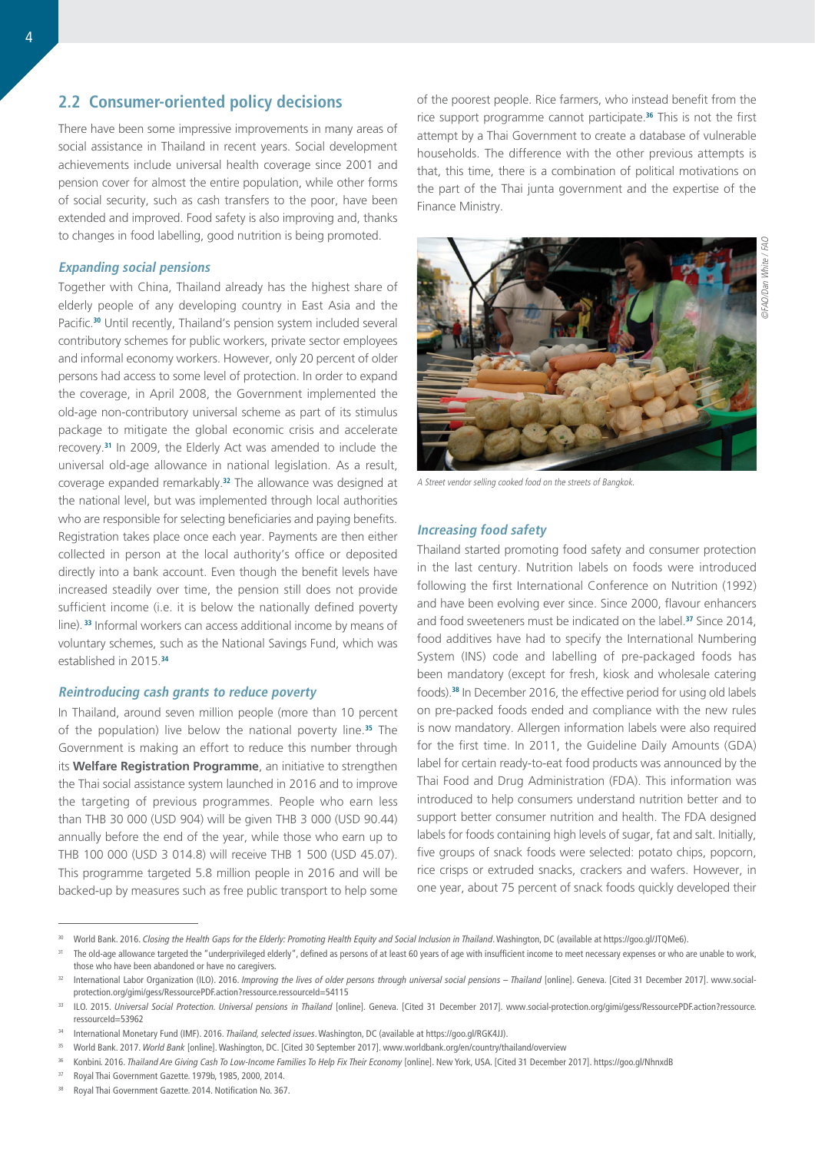There have been some impressive improvements in many areas of social assistance in Thailand in recent years. Social development achievements include universal health coverage since 2001 and pension cover for almost the entire population, while other forms of social security, such as cash transfers to the poor, have been extended and improved. Food safety is also improving and, thanks to changes in food labelling, good nutrition is being promoted.

### **Expanding social pensions**

Together with China, Thailand already has the highest share of elderly people of any developing country in East Asia and the Pacific.**<sup>30</sup>** Until recently, Thailand's pension system included several contributory schemes for public workers, private sector employees and informal economy workers. However, only 20 percent of older persons had access to some level of protection. In order to expand the coverage, in April 2008, the Government implemented the old-age non-contributory universal scheme as part of its stimulus package to mitigate the global economic crisis and accelerate recovery.**<sup>31</sup>** In 2009, the Elderly Act was amended to include the universal old-age allowance in national legislation. As a result, coverage expanded remarkably.**<sup>32</sup>** The allowance was designed at the national level, but was implemented through local authorities who are responsible for selecting beneficiaries and paying benefits. Registration takes place once each year. Payments are then either collected in person at the local authority's office or deposited directly into a bank account. Even though the benefit levels have increased steadily over time, the pension still does not provide sufficient income (i.e. it is below the nationally defined poverty line).**<sup>33</sup>** Informal workers can access additional income by means of voluntary schemes, such as the National Savings Fund, which was established in 2015.**<sup>34</sup>**

#### **Reintroducing cash grants to reduce poverty**

In Thailand, around seven million people (more than 10 percent of the population) live below the national poverty line.**<sup>35</sup>** The Government is making an effort to reduce this number through its **Welfare Registration Programme**, an initiative to strengthen the Thai social assistance system launched in 2016 and to improve the targeting of previous programmes. People who earn less than THB 30 000 (USD 904) will be given THB 3 000 (USD 90.44) annually before the end of the year, while those who earn up to THB 100 000 (USD 3 014.8) will receive THB 1 500 (USD 45.07). This programme targeted 5.8 million people in 2016 and will be backed-up by measures such as free public transport to help some

of the poorest people. Rice farmers, who instead benefit from the rice support programme cannot participate.**<sup>36</sup>** This is not the first attempt by a Thai Government to create a database of vulnerable households. The difference with the other previous attempts is that, this time, there is a combination of political motivations on the part of the Thai junta government and the expertise of the Finance Ministry.



A Street vendor selling cooked food on the streets of Bangkok.

#### **Increasing food safety**

Thailand started promoting food safety and consumer protection in the last century. Nutrition labels on foods were introduced following the first International Conference on Nutrition (1992) and have been evolving ever since. Since 2000, flavour enhancers and food sweeteners must be indicated on the label.**<sup>37</sup>** Since 2014, food additives have had to specify the International Numbering System (INS) code and labelling of pre-packaged foods has been mandatory (except for fresh, kiosk and wholesale catering foods).**<sup>38</sup>** In December 2016, the effective period for using old labels on pre-packed foods ended and compliance with the new rules is now mandatory. Allergen information labels were also required for the first time. In 2011, the Guideline Daily Amounts (GDA) label for certain ready-to-eat food products was announced by the Thai Food and Drug Administration (FDA). This information was introduced to help consumers understand nutrition better and to support better consumer nutrition and health. The FDA designed labels for foods containing high levels of sugar, fat and salt. Initially, five groups of snack foods were selected: potato chips, popcorn, rice crisps or extruded snacks, crackers and wafers. However, in one year, about 75 percent of snack foods quickly developed their

<sup>37</sup> Royal Thai Government Gazette. 1979b, 1985, 2000, 2014.

The old-age allowance targeted the "underprivileged elderly", defined as persons of at least 60 years of age with insufficient income to meet necessary expenses or who are unable to work, those who have been abandoned or have no caregivers.

<sup>&</sup>lt;sup>32</sup> International Labor Organization (ILO). 2016. *Improving the lives of older persons through universal social pensions – Thailand* [online]. Geneva. [Cited 31 December 2017]. [www.social](http://www.social-protection.org/gimi/gess/RessourcePDF.action?ressource.ressourceId=54115)[protection.org/gimi/gess/RessourcePDF.action?ressource.ressourceId=54115](http://www.social-protection.org/gimi/gess/RessourcePDF.action?ressource.ressourceId=54115)

ILO. 2015. Universal Social Protection. Universal pensions in Thailand [online]. Geneva. [Cited 31 December 2017]. [www.social-protection.org/gimi/gess/RessourcePDF.action?ressource.](http://www.social-protection.org/gimi/gess/RessourcePDF.action?ressource.ressourceId=53962) [ressourceId=53962](http://www.social-protection.org/gimi/gess/RessourcePDF.action?ressource.ressourceId=53962)

<sup>34</sup> International Monetary Fund (IMF). 2016. *Thailand, selected issues*. Washington, DC (available at [https://goo.gl/RGK4JJ\)](https://goo.gl/RGK4JJ).

<sup>35</sup> World Bank. 2017. *World Bank* [online]. Washington, DC. [Cited 30 September 2017]. [www.worldbank.org/en/country/thailand/overview](http://www.worldbank.org/en/country/thailand/overview)

Konbini. 2016. Thailand Are Giving Cash To Low-Income Families To Help Fix Their Economy [online]. New York, USA. [Cited 31 December 2017]. <https://goo.gl/NhnxdB>

<sup>38</sup> Royal Thai Government Gazette. 2014. Notification No. 367.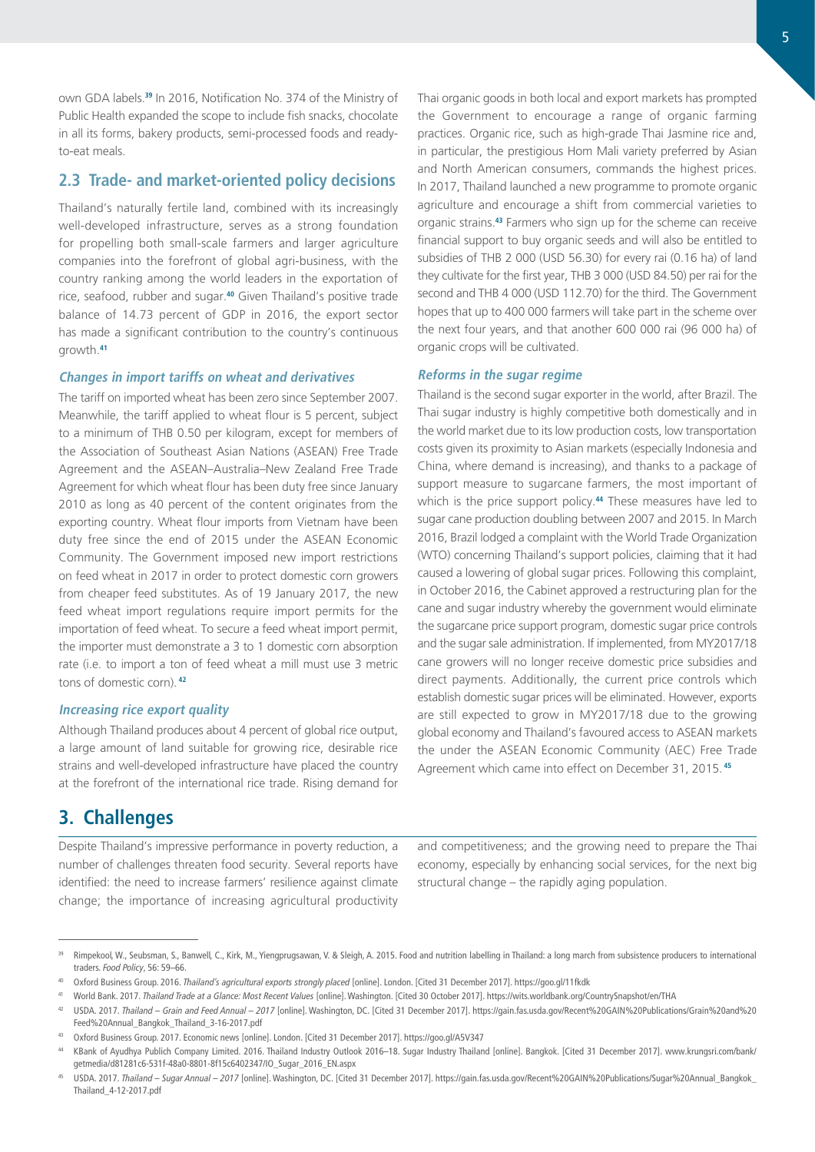own GDA labels.**<sup>39</sup>** In 2016, Notification No. 374 of the Ministry of Public Health expanded the scope to include fish snacks, chocolate in all its forms, bakery products, semi-processed foods and readyto-eat meals.

## **2.3 Trade- and market-oriented policy decisions**

Thailand's naturally fertile land, combined with its increasingly well-developed infrastructure, serves as a strong foundation for propelling both small-scale farmers and larger agriculture companies into the forefront of global agri-business, with the country ranking among the world leaders in the exportation of rice, seafood, rubber and sugar.**<sup>40</sup>** Given Thailand's positive trade balance of 14.73 percent of GDP in 2016, the export sector has made a significant contribution to the country's continuous growth.**<sup>41</sup>**

### **Changes in import tariffs on wheat and derivatives**

The tariff on imported wheat has been zero since September 2007. Meanwhile, the tariff applied to wheat flour is 5 percent, subject to a minimum of THB 0.50 per kilogram, except for members of the Association of Southeast Asian Nations (ASEAN) Free Trade Agreement and the ASEAN–Australia–New Zealand Free Trade Agreement for which wheat flour has been duty free since January 2010 as long as 40 percent of the content originates from the exporting country. Wheat flour imports from Vietnam have been duty free since the end of 2015 under the ASEAN Economic Community. The Government imposed new import restrictions on feed wheat in 2017 in order to protect domestic corn growers from cheaper feed substitutes. As of 19 January 2017, the new feed wheat import regulations require import permits for the importation of feed wheat. To secure a feed wheat import permit, the importer must demonstrate a 3 to 1 domestic corn absorption rate (i.e. to import a ton of feed wheat a mill must use 3 metric tons of domestic corn).**<sup>42</sup>**

### **Increasing rice export quality**

Although Thailand produces about 4 percent of global rice output, a large amount of land suitable for growing rice, desirable rice strains and well-developed infrastructure have placed the country at the forefront of the international rice trade. Rising demand for

Thai organic goods in both local and export markets has prompted the Government to encourage a range of organic farming practices. Organic rice, such as high-grade Thai Jasmine rice and, in particular, the prestigious Hom Mali variety preferred by Asian and North American consumers, commands the highest prices. In 2017, Thailand launched a new programme to promote organic agriculture and encourage a shift from commercial varieties to organic strains.**<sup>43</sup>** Farmers who sign up for the scheme can receive financial support to buy organic seeds and will also be entitled to subsidies of THB 2 000 (USD 56.30) for every rai (0.16 ha) of land they cultivate for the first year, THB 3 000 (USD 84.50) per rai for the second and THB 4 000 (USD 112.70) for the third. The Government hopes that up to 400 000 farmers will take part in the scheme over the next four years, and that another 600 000 rai (96 000 ha) of organic crops will be cultivated.

#### **Reforms in the sugar regime**

Thailand is the second sugar exporter in the world, after Brazil. The Thai sugar industry is highly competitive both domestically and in the world market due to its low production costs, low transportation costs given its proximity to Asian markets (especially Indonesia and China, where demand is increasing), and thanks to a package of support measure to sugarcane farmers, the most important of which is the price support policy.**<sup>44</sup>** These measures have led to sugar cane production doubling between 2007 and 2015. In March 2016, Brazil lodged a complaint with the World Trade Organization (WTO) concerning Thailand's support policies, claiming that it had caused a lowering of global sugar prices. Following this complaint, in October 2016, the Cabinet approved a restructuring plan for the cane and sugar industry whereby the government would eliminate the sugarcane price support program, domestic sugar price controls and the sugar sale administration. If implemented, from MY2017/18 cane growers will no longer receive domestic price subsidies and direct payments. Additionally, the current price controls which establish domestic sugar prices will be eliminated. However, exports are still expected to grow in MY2017/18 due to the growing global economy and Thailand's favoured access to ASEAN markets the under the ASEAN Economic Community (AEC) Free Trade Agreement which came into effect on December 31, 2015.**<sup>45</sup>**

# **3. Challenges**

Despite Thailand's impressive performance in poverty reduction, a number of challenges threaten food security. Several reports have identified: the need to increase farmers' resilience against climate change; the importance of increasing agricultural productivity

and competitiveness; and the growing need to prepare the Thai economy, especially by enhancing social services, for the next big structural change – the rapidly aging population.

<sup>39</sup> Rimpekool, W., Seubsman, S., Banwell, C., Kirk, M., Yiengprugsawan, V. & Sleigh, A. 2015. Food and nutrition labelling in Thailand: a long march from subsistence producers to international traders. *Food Policy*, 56: 59–66.

<sup>40</sup> Oxford Business Group. 2016. *Thailand's agricultural exports strongly placed* [online]. London. [Cited 31 December 2017].<https://goo.gl/11fkdk>

<sup>41</sup> World Bank. 2017. *Thailand Trade at a Glance: Most Recent Values* [online]. Washington. [Cited 30 October 2017]. <https://wits.worldbank.org/CountrySnapshot/en/THA>

<sup>42</sup> USDA. 2017. *Thailand – Grain and Feed Annual – 2017* [online]. Washington, DC. [Cited 31 December 2017]. [https://gain.fas.usda.gov/Recent%20GAIN%20Publications/Grain%20and%20](https://gain.fas.usda.gov/Recent GAIN Publications/Grain and Feed Annual_Bangkok_Thailand_3-16-2017.pdf) [Feed%20Annual\\_Bangkok\\_Thailand\\_3-16-2017.pdf](https://gain.fas.usda.gov/Recent GAIN Publications/Grain and Feed Annual_Bangkok_Thailand_3-16-2017.pdf)

<sup>43</sup> Oxford Business Group. 2017. Economic news [online]. London. [Cited 31 December 2017].<https://goo.gl/A5V347>

<sup>44</sup> KBank of Ayudhya Publich Company Limited. 2016. Thailand Industry Outlook 2016–18. Sugar Industry Thailand [online]. Bangkok. [Cited 31 December 2017]. [www.krungsri.com/bank/](https://www.krungsri.com/bank/getmedia/d81281c6-531f-48a0-8801-8f15c6402347/IO_Sugar_2016_EN.aspx) [getmedia/d81281c6-531f-48a0-8801-8f15c6402347/IO\\_Sugar\\_2016\\_EN.aspx](https://www.krungsri.com/bank/getmedia/d81281c6-531f-48a0-8801-8f15c6402347/IO_Sugar_2016_EN.aspx)

<sup>45</sup> USDA. 2017. *Thailand – Sugar Annual – 2017* [online]. Washington, DC. [Cited 31 December 2017]. [https://gain.fas.usda.gov/Recent%20GAIN%20Publications/Sugar%20Annual\\_Bangkok\\_](https://gain.fas.usda.gov/Recent%20GAIN%20Publications/Sugar%20Annual_Bangkok_Thailand_4-12-2017.pdf) [Thailand\\_4-12-2017.pdf](https://gain.fas.usda.gov/Recent%20GAIN%20Publications/Sugar%20Annual_Bangkok_Thailand_4-12-2017.pdf)